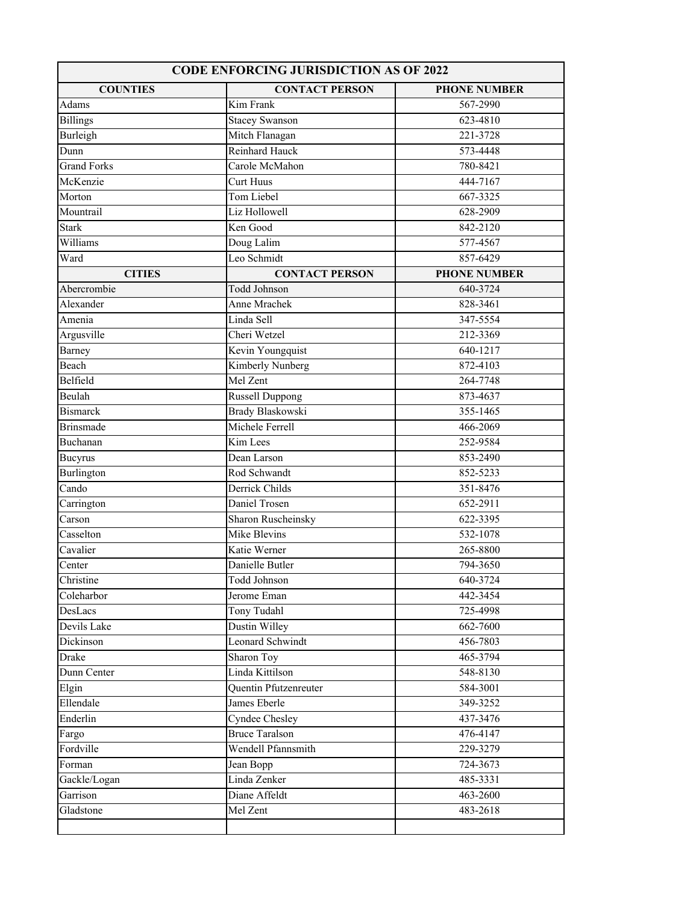| <b>CODE ENFORCING JURISDICTION AS OF 2022</b> |                              |                     |  |
|-----------------------------------------------|------------------------------|---------------------|--|
| <b>COUNTIES</b>                               | <b>CONTACT PERSON</b>        | <b>PHONE NUMBER</b> |  |
| Adams                                         | Kim Frank                    | 567-2990            |  |
| <b>Billings</b>                               | <b>Stacey Swanson</b>        | 623-4810            |  |
| Burleigh                                      | Mitch Flanagan               | 221-3728            |  |
| Dunn                                          | Reinhard Hauck               | 573-4448            |  |
| <b>Grand Forks</b>                            | Carole McMahon               | 780-8421            |  |
| McKenzie                                      | Curt Huus                    | 444-7167            |  |
| Morton                                        | Tom Liebel                   | 667-3325            |  |
| Mountrail                                     | Liz Hollowell                | 628-2909            |  |
| <b>Stark</b>                                  | Ken Good                     | 842-2120            |  |
| Williams                                      | Doug Lalim                   | 577-4567            |  |
| Ward                                          | Leo Schmidt                  | 857-6429            |  |
| <b>CITIES</b>                                 | <b>CONTACT PERSON</b>        | <b>PHONE NUMBER</b> |  |
| Abercrombie                                   | <b>Todd Johnson</b>          | 640-3724            |  |
| Alexander                                     | Anne Mrachek                 | 828-3461            |  |
| Amenia                                        | Linda Sell                   | 347-5554            |  |
| Argusville                                    | Cheri Wetzel                 | 212-3369            |  |
| Barney                                        | Kevin Youngquist             | 640-1217            |  |
| Beach                                         | Kimberly Nunberg             | 872-4103            |  |
| Belfield                                      | Mel Zent                     | 264-7748            |  |
| Beulah                                        | Russell Duppong              | 873-4637            |  |
| <b>Bismarck</b>                               | <b>Brady Blaskowski</b>      | 355-1465            |  |
| <b>Brinsmade</b>                              | Michele Ferrell              | 466-2069            |  |
| Buchanan                                      | Kim Lees                     | 252-9584            |  |
| <b>Bucyrus</b>                                | Dean Larson                  | 853-2490            |  |
| Burlington                                    | Rod Schwandt                 | 852-5233            |  |
| Cando                                         | Derrick Childs               | 351-8476            |  |
| Carrington                                    | Daniel Trosen                | 652-2911            |  |
| Carson                                        | Sharon Ruscheinsky           | 622-3395            |  |
| Casselton                                     | Mike Blevins                 | 532-1078            |  |
| Cavalier                                      | Katie Werner                 | 265-8800            |  |
| Center                                        | Danielle Butler              | 794-3650            |  |
| Christine                                     | Todd Johnson                 | 640-3724            |  |
| Coleharbor                                    | Jerome Eman                  | 442-3454            |  |
| DesLacs                                       | Tony Tudahl                  | 725-4998            |  |
| Devils Lake                                   | Dustin Willey                | 662-7600            |  |
| Dickinson                                     | Leonard Schwindt             | 456-7803            |  |
| Drake                                         | Sharon Toy                   | 465-3794            |  |
| Dunn Center                                   | Linda Kittilson              | 548-8130            |  |
| Elgin                                         | <b>Quentin Pfutzenreuter</b> | 584-3001            |  |
| Ellendale                                     | James Eberle                 | 349-3252            |  |
| Enderlin                                      | Cyndee Chesley               | 437-3476            |  |
| Fargo                                         | <b>Bruce Taralson</b>        | 476-4147            |  |
| Fordville                                     | Wendell Pfannsmith           | 229-3279            |  |
| Forman                                        | Jean Bopp                    | 724-3673            |  |
| Gackle/Logan                                  | Linda Zenker                 | 485-3331            |  |
| Garrison                                      | Diane Affeldt                | 463-2600            |  |
| Gladstone                                     | Mel Zent                     | 483-2618            |  |
|                                               |                              |                     |  |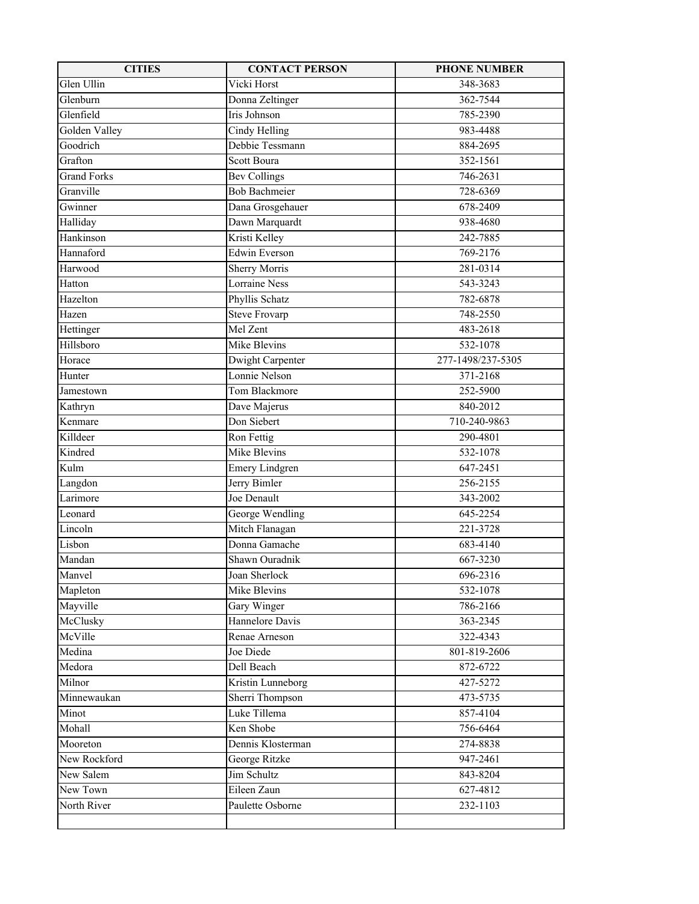| <b>CITIES</b>      | <b>CONTACT PERSON</b> | <b>PHONE NUMBER</b> |
|--------------------|-----------------------|---------------------|
| Glen Ullin         | Vicki Horst           | 348-3683            |
| Glenburn           | Donna Zeltinger       | 362-7544            |
| Glenfield          | Iris Johnson          | 785-2390            |
| Golden Valley      | Cindy Helling         | 983-4488            |
| Goodrich           | Debbie Tessmann       | 884-2695            |
| Grafton            | Scott Boura           | 352-1561            |
| <b>Grand Forks</b> | <b>Bev Collings</b>   | 746-2631            |
| Granville          | <b>Bob Bachmeier</b>  | 728-6369            |
| Gwinner            | Dana Grosgehauer      | 678-2409            |
| Halliday           | Dawn Marquardt        | 938-4680            |
| Hankinson          | Kristi Kelley         | 242-7885            |
| Hannaford          | <b>Edwin Everson</b>  | 769-2176            |
| Harwood            | <b>Sherry Morris</b>  | 281-0314            |
| Hatton             | <b>Lorraine Ness</b>  | 543-3243            |
| Hazelton           | Phyllis Schatz        | 782-6878            |
| Hazen              | <b>Steve Frovarp</b>  | 748-2550            |
| Hettinger          | Mel Zent              | 483-2618            |
| Hillsboro          | Mike Blevins          | 532-1078            |
| Horace             | Dwight Carpenter      | 277-1498/237-5305   |
| Hunter             | Lonnie Nelson         | 371-2168            |
| Jamestown          | Tom Blackmore         | 252-5900            |
| Kathryn            | Dave Majerus          | 840-2012            |
| Kenmare            | Don Siebert           | 710-240-9863        |
| Killdeer           | Ron Fettig            | 290-4801            |
| Kindred            | Mike Blevins          | 532-1078            |
| Kulm               | <b>Emery Lindgren</b> | 647-2451            |
| Langdon            | Jerry Bimler          | 256-2155            |
| Larimore           | Joe Denault           | 343-2002            |
| Leonard            | George Wendling       | 645-2254            |
| Lincoln            | Mitch Flanagan        | 221-3728            |
| Lisbon             | Donna Gamache         | 683-4140            |
| Mandan             | Shawn Ouradnik        | 667-3230            |
| Manvel             | Joan Sherlock         | 696-2316            |
| Mapleton           | Mike Blevins          | 532-1078            |
| Mayville           | Gary Winger           | 786-2166            |
| McClusky           | Hannelore Davis       | 363-2345            |
| McVille            | Renae Arneson         | 322-4343            |
| Medina             | Joe Diede             | 801-819-2606        |
| Medora             | Dell Beach            | 872-6722            |
| Milnor             | Kristin Lunneborg     | 427-5272            |
| Minnewaukan        | Sherri Thompson       | 473-5735            |
| Minot              | Luke Tillema          | 857-4104            |
| Mohall             | Ken Shobe             | 756-6464            |
| Mooreton           | Dennis Klosterman     | 274-8838            |
| New Rockford       | George Ritzke         | 947-2461            |
| New Salem          | Jim Schultz           | 843-8204            |
| New Town           | Eileen Zaun           | 627-4812            |
| North River        | Paulette Osborne      | 232-1103            |
|                    |                       |                     |